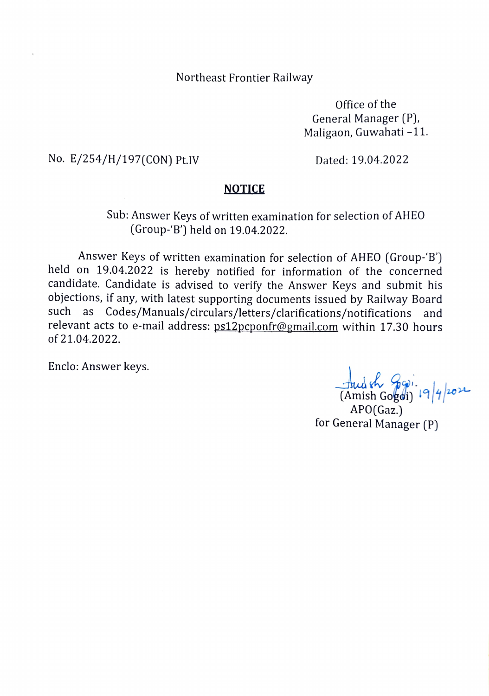Northeast Frontier Railway

Office of the General Manager (P), Maligaon, Guwahati -11.

No. E/254/H/197(CON) Pt.IV Dated: 19.04.2022

## NOTICE

## Sub: Answer Keys of written examination for selection of AHEO (Group-B) held on 19.04.2022.

Answer Keys of written examination for selection of AHEO (Group-'B') held on 19.04.2022 is hereby notified for information of the concerned candidate. Candidate is advised to verify the Answer Keys and submit his objections, if any, with latest supporting documents issued by Railway Board such as Codes/Manuals/circulars/letters/clarifications/notifications and relevant acts to e-mail address: ps12pcponfr@gmail.com within 17.30 hours of 21.04.2022.

Enclo: Answer keys.

Audsh Josi.<br>(Amish Gogoi) 19/4/2022

APO(Gaz.) for General Manager (P)